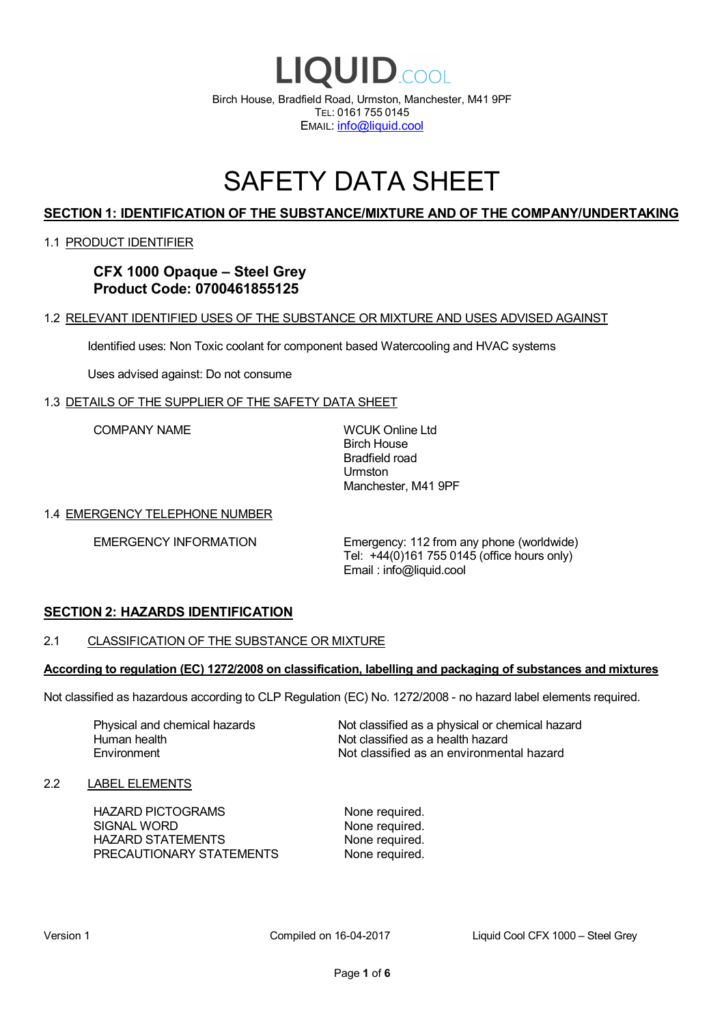

## SAFETY DATA SHEET

## **SECTION 1: IDENTIFICATION OF THE SUBSTANCE/MIXTURE AND OF THE COMPANY/UNDERTAKING**

## 1.1 PRODUCT IDENTIFIER

**CFX 1000 Opaque – Steel Grey Product Code: 0700461855125**

## 1.2 RELEVANT IDENTIFIED USES OF THE SUBSTANCE OR MIXTURE AND USES ADVISED AGAINST

Identified uses: Non Toxic coolant for component based Watercooling and HVAC systems

Uses advised against: Do not consume

#### 1.3 DETAILS OF THE SUPPLIER OF THE SAFETY DATA SHEET

COMPANY NAME WCUK Online Ltd

Birch House Bradfield road Urmston Manchester, M41 9PF

#### 1.4 EMERGENCY TELEPHONE NUMBER

EMERGENCY INFORMATION Emergency: 112 from any phone (worldwide) Tel: +44(0)161 755 0145 (office hours only) Email : info@liquid.cool

## **SECTION 2: HAZARDS IDENTIFICATION**

#### 2.1 CLASSIFICATION OF THE SUBSTANCE OR MIXTURE

#### **According to regulation (EC) 1272/2008 on classification, labelling and packaging of substances and mixtures**

Not classified as hazardous according to CLP Regulation (EC) No. 1272/2008 - no hazard label elements required.

Human health **Environment** 

Physical and chemical hazards Not classified as a physical or chemical hazard Not classified as a health hazard Not classified as an environmental hazard

## 2.2 LABEL ELEMENTS

HAZARD PICTOGRAMS None required. SIGNAL WORD None required. HAZARD STATEMENTS None required. PRECAUTIONARY STATEMENTS None required.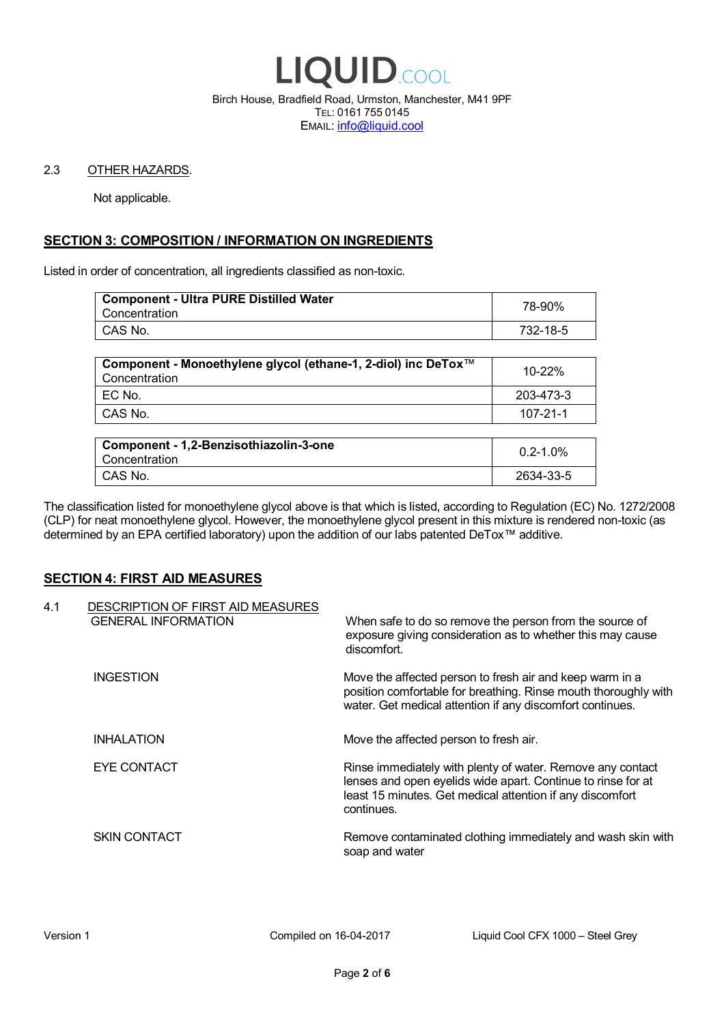

Birch House, Bradfield Road, Urmston, Manchester, M41 9PF TEL: 0161 755 0145 EMAIL: info@liquid.cool

#### 2.3 OTHER HAZARDS.

Not applicable.

## **SECTION 3: COMPOSITION / INFORMATION ON INGREDIENTS**

Listed in order of concentration, all ingredients classified as non-toxic.

| <b>Component - Ultra PURE Distilled Water</b><br>Concentration | 78-90%   |
|----------------------------------------------------------------|----------|
| CAS No.                                                        | 732-18-5 |
|                                                                |          |

| Component - Monoethylene glycol (ethane-1, 2-diol) inc DeTox™<br>Concentration | 10-22%    |
|--------------------------------------------------------------------------------|-----------|
| EC No.                                                                         | 203-473-3 |
| CAS No.                                                                        | 107-21-1  |

| Component - 1,2-Benzisothiazolin-3-one<br>Concentration | $0.2 - 1.0\%$ |
|---------------------------------------------------------|---------------|
| CAS No.                                                 | 2634-33-5     |

The classification listed for monoethylene glycol above is that which is listed, according to Regulation (EC) No. 1272/2008 (CLP) for neat monoethylene glycol. However, the monoethylene glycol present in this mixture is rendered non-toxic (as determined by an EPA certified laboratory) upon the addition of our labs patented DeTox™ additive.

## **SECTION 4: FIRST AID MEASURES**

| 4.1 | DESCRIPTION OF FIRST AID MEASURES<br><b>GENERAL INFORMATION</b> | When safe to do so remove the person from the source of<br>exposure giving consideration as to whether this may cause<br>discomfort.                                                                  |
|-----|-----------------------------------------------------------------|-------------------------------------------------------------------------------------------------------------------------------------------------------------------------------------------------------|
|     | <b>INGESTION</b>                                                | Move the affected person to fresh air and keep warm in a<br>position comfortable for breathing. Rinse mouth thoroughly with<br>water. Get medical attention if any discomfort continues.              |
|     | <b>INHALATION</b>                                               | Move the affected person to fresh air.                                                                                                                                                                |
|     | EYE CONTACT                                                     | Rinse immediately with plenty of water. Remove any contact<br>lenses and open eyelids wide apart. Continue to rinse for at<br>least 15 minutes. Get medical attention if any discomfort<br>continues. |
|     | <b>SKIN CONTACT</b>                                             | Remove contaminated clothing immediately and wash skin with<br>soap and water                                                                                                                         |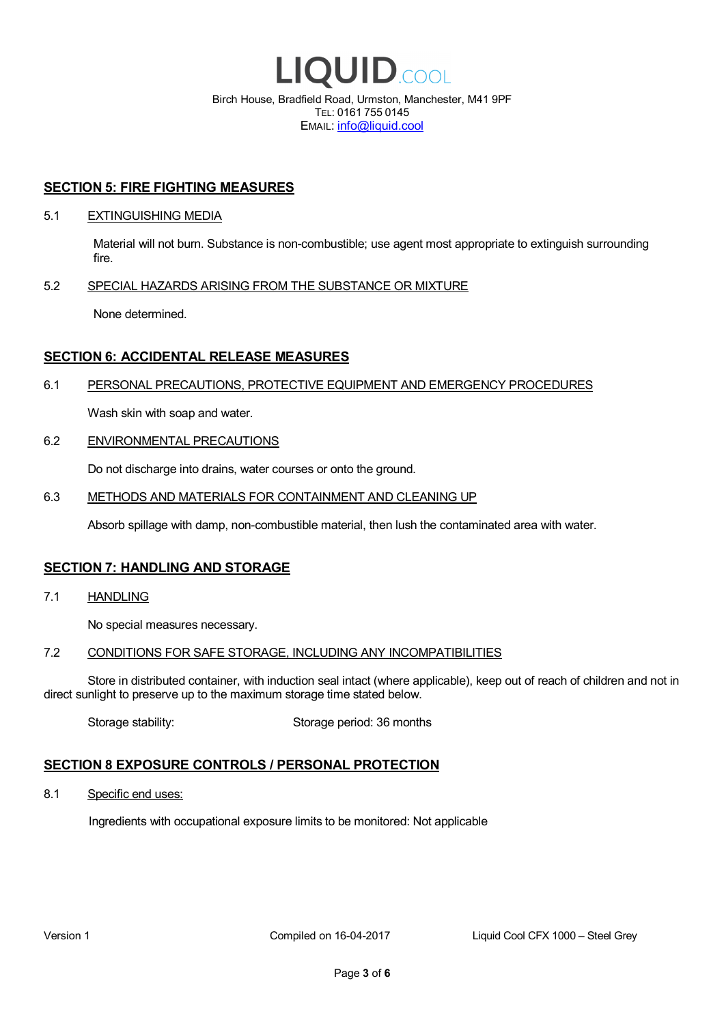

EMAIL: info@liquid.cool

### **SECTION 5: FIRE FIGHTING MEASURES**

#### 5.1 EXTINGUISHING MEDIA

Material will not burn. Substance is non-combustible; use agent most appropriate to extinguish surrounding fire.

## 5.2 SPECIAL HAZARDS ARISING FROM THE SUBSTANCE OR MIXTURE

None determined.

## **SECTION 6: ACCIDENTAL RELEASE MEASURES**

#### 6.1 PERSONAL PRECAUTIONS, PROTECTIVE EQUIPMENT AND EMERGENCY PROCEDURES

Wash skin with soap and water.

#### 6.2 ENVIRONMENTAL PRECAUTIONS

Do not discharge into drains, water courses or onto the ground.

#### 6.3 METHODS AND MATERIALS FOR CONTAINMENT AND CLEANING UP

Absorb spillage with damp, non-combustible material, then lush the contaminated area with water.

## **SECTION 7: HANDLING AND STORAGE**

7.1 HANDLING

No special measures necessary.

#### 7.2 CONDITIONS FOR SAFE STORAGE, INCLUDING ANY INCOMPATIBILITIES

Store in distributed container, with induction seal intact (where applicable), keep out of reach of children and not in direct sunlight to preserve up to the maximum storage time stated below.

Storage stability: Storage period: 36 months

## **SECTION 8 EXPOSURE CONTROLS / PERSONAL PROTECTION**

8.1 Specific end uses:

Ingredients with occupational exposure limits to be monitored: Not applicable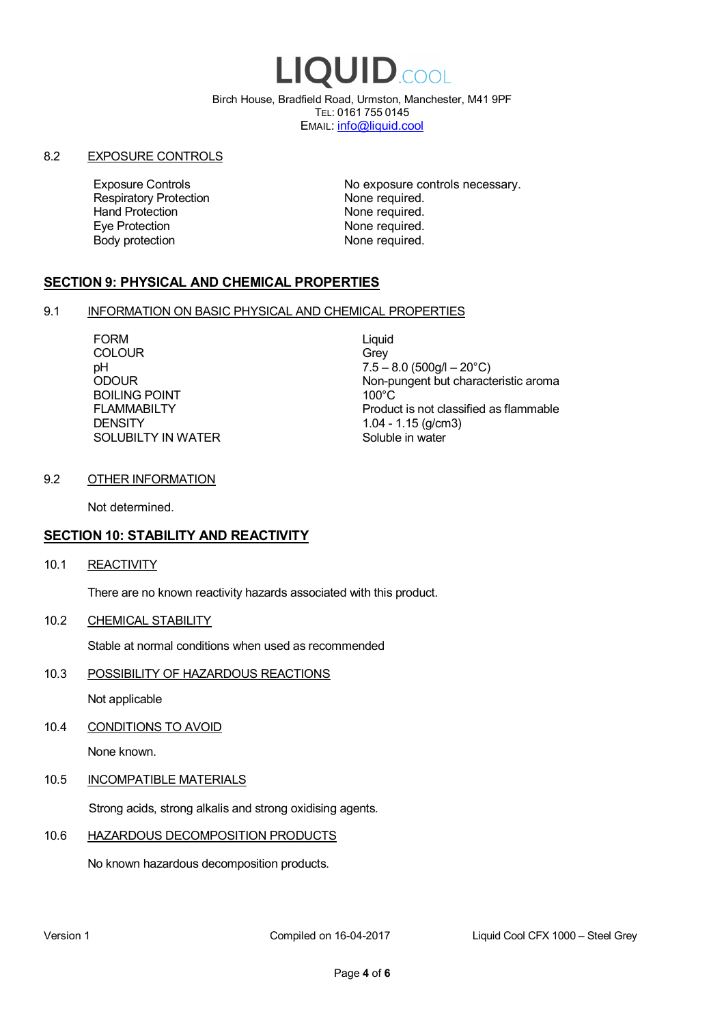# LIQUID.COOL

Birch House, Bradfield Road, Urmston, Manchester, M41 9PF TEL: 0161 755 0145 EMAIL: info@liquid.cool

#### 8.2 EXPOSURE CONTROLS

Respiratory Protection **None required.**<br>
Hand Protection **None required.** Eye Protection **None required.** Body protection None required.

Exposure Controls **Exposure Controls** No exposure controls necessary. None required.

## **SECTION 9: PHYSICAL AND CHEMICAL PROPERTIES**

## 9.1 INFORMATION ON BASIC PHYSICAL AND CHEMICAL PROPERTIES

FORM Liquid COLOUR Grey BOILING POINT FLAMMABILTY **DENSITY** SOLUBILTY IN WATER

pH<br>
DDOUR
20°C)
2000UR
2000UR
2000UR
2000UR Non-pungent but characteristic aroma 100°C Product is not classified as flammable 1.04 - 1.15 (g/cm3) Soluble in water

## 9.2 OTHER INFORMATION

Not determined.

## **SECTION 10: STABILITY AND REACTIVITY**

10.1 REACTIVITY

There are no known reactivity hazards associated with this product.

10.2 CHEMICAL STABILITY

Stable at normal conditions when used as recommended

10.3 POSSIBILITY OF HAZARDOUS REACTIONS

Not applicable

10.4 CONDITIONS TO AVOID

None known.

## 10.5 INCOMPATIBLE MATERIALS

Strong acids, strong alkalis and strong oxidising agents.

## 10.6 HAZARDOUS DECOMPOSITION PRODUCTS

No known hazardous decomposition products.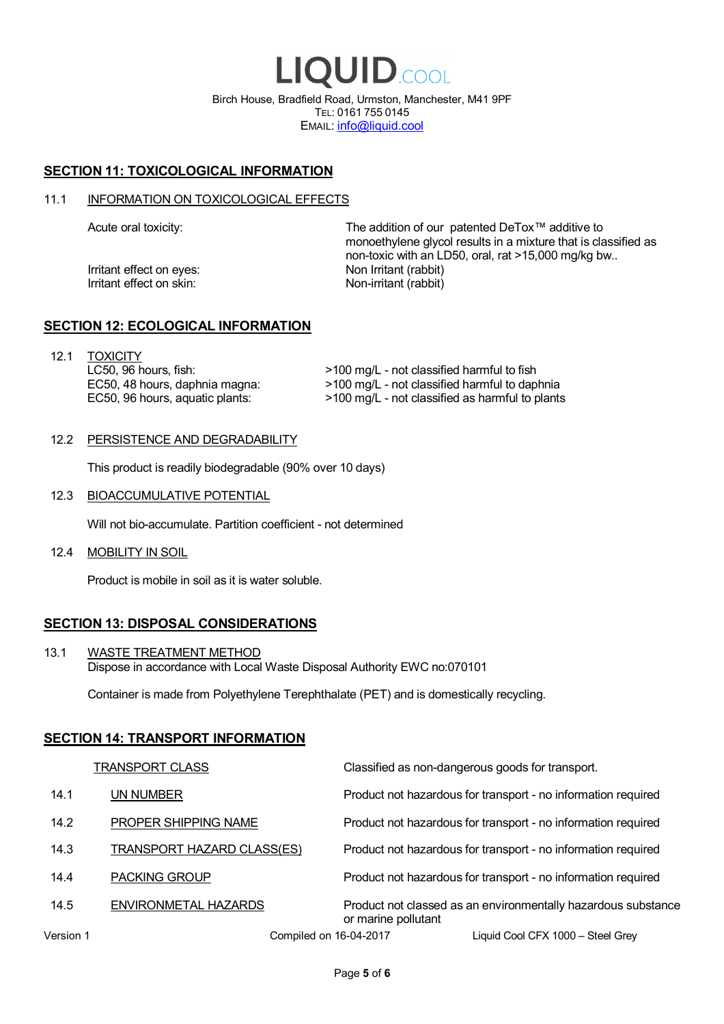LIQUID.COOL Birch House, Bradfield Road, Urmston, Manchester, M41 9PF TEL: 0161 755 0145 EMAIL: info@liquid.cool

## **SECTION 11: TOXICOLOGICAL INFORMATION**

#### 11.1 INFORMATION ON TOXICOLOGICAL EFFECTS

Irritant effect on eves: Non Irritant (rabbit) Irritant effect on skin: Non-irritant (rabbit)

Acute oral toxicity: The addition of our patented DeTox™ additive to monoethylene glycol results in a mixture that is classified as non-toxic with an LD50, oral, rat >15,000 mg/kg bw..

## **SECTION 12: ECOLOGICAL INFORMATION**

12.1 TOXICITY LC50, 96 hours, fish: EC50, 48 hours, daphnia magna: EC50, 96 hours, aquatic plants:

>100 mg/L - not classified harmful to fish >100 mg/L - not classified harmful to daphnia >100 mg/L - not classified as harmful to plants

#### 12.2 PERSISTENCE AND DEGRADABILITY

This product is readily biodegradable (90% over 10 days)

12.3 BIOACCUMULATIVE POTENTIAL

Will not bio-accumulate. Partition coefficient - not determined

12.4 MOBILITY IN SOIL

Product is mobile in soil as it is water soluble.

## **SECTION 13: DISPOSAL CONSIDERATIONS**

13.1 WASTE TREATMENT METHOD Dispose in accordance with Local Waste Disposal Authority EWC no:070101

Container is made from Polyethylene Terephthalate (PET) and is domestically recycling.

## **SECTION 14: TRANSPORT INFORMATION**

|           | <b>TRANSPORT CLASS</b>            | Classified as non-dangerous goods for transport.                                     |
|-----------|-----------------------------------|--------------------------------------------------------------------------------------|
| 14.1      | UN NUMBER                         | Product not hazardous for transport - no information required                        |
| 14.2      | PROPER SHIPPING NAME              | Product not hazardous for transport - no information required                        |
| 14.3      | <b>TRANSPORT HAZARD CLASS(ES)</b> | Product not hazardous for transport - no information required                        |
| 14.4      | <b>PACKING GROUP</b>              | Product not hazardous for transport - no information required                        |
| 14.5      | ENVIRONMETAL HAZARDS              | Product not classed as an environmentally hazardous substance<br>or marine pollutant |
| Version 1 | Compiled on 16-04-2017            | Liquid Cool CFX 1000 - Steel Grey                                                    |